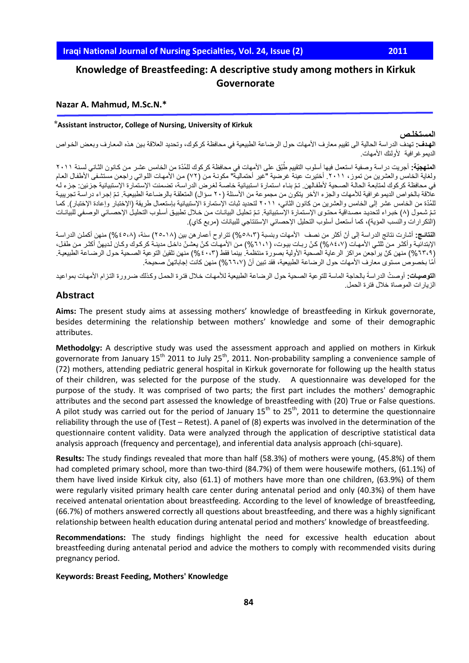# **Knowledge of Breastfeeding: A descriptive study among mothers in Kirkuk Governorate**

#### **Nazar A. Mahmud, M.Sc.N.\***

#### **⃰Assistant instructor, College of Nursing, University of Kirkuk**

#### **المستخلـص**

ا**لهدف:** تهدف الدراسة الحالية الى تقييم معارف الأمهات حول الرضاعة الطبيعية في محافظة كركوك، وتحديد العلاقة بين هذه المعارف وبعض الخواص الديمو غر افية الأولئك الأمهات.

ا**لمنهجيّة:** أجريت دراسة وصفية استعمل فيها أسلوب التقييم طُبّق على الأمهات في محافظة كركوك للمُدّة من الخامس عشر من كانون الثـاني لسنة ٢٠١١ ولغاية الخامس والعشرين من تموز، ٢٠١١. أختيرت عينة غرضية "غير أحتماليةً" مكونـة من (٧٢) من الأمهات اللواتي راجعن مستشفى الأطفـال العـام في محافظة كركوك لمتابعة الحالة الصحية لأطفالهن. تمّ بنـاء استمارة استبيانية خاصـة لغرض الدراسـة، تضمنت الإستمارة الإستبيانية جزئين: جزء لـه علاقة بالخواص الديمو غرافية للأمهات والجزء الأخر يتكون من مجموعة من الأسئلة (٢٠ سؤال) المتعلقة بالرضياعة الطبيعية. تمّ إجراء دراسة تجريبية للمُدّة من الخامس عشر إلى الخامس والعشرين من كانون الثاني، ٢٠١١ لتحديد ثبات الإستمارة الإستبيانية بإستعمال طريقة (الإختبار وإعادة الإختبار). كمـا نمّ شمول (٨) خبراء لتحديد مصداقية محتوى الإستمارة الإستبيانية. تمّ تحليل البيانـات من خـلال تطبيق أسلوب التحليل الإحصـائي الوصـفي للبيانـات (التكرارات والنسب المؤية)، كما أستعمل أسلوب التحليل الإحصائي الإستنتاجي للبيانات (مربع كاي).

ا**لنتائـج:** أشارت نتائج الدراسة إلى أنّ أكثر من نصف الأمهات وبنسبة (٥٨،٣) تتراوح أعمار هن بين (١٨-٢٥) سنة، (٥،٨٤%) منهن أكملن الدراسة الإبتدائية وأكثر من نلني الأمهات (٨٤،٧%) كنّ ربات بيوت، (١،١١%) من الأمهات كنّ يعشنّ داخل مدينة كركوك وكان لديهنّ أكثر من طفل، (٦٢،٩) منهن كنّ يراجعن مراكز الرعاية الصحية الأولية بصورة منتظمة. بينما فقط (٤٠،٢) منهن تلقينَ التوعية الصحية حول الرضـاعة الطبيعية. أمّا بخصوص مستوى معارف الأمهات حول الرضاعة الطبيعية، فقد تبين أنّ (٦٦،٧%) منهن كانت إجاباتهنّ صحيحة.

ا**لتوصيـات:** أو صثّ الدر اسةَ بالحاجة الماسة للتو عية الصحية حول الرضاعة الطبيعية للأمهات خلال فترة الحمل وكذلك ضرورة التزام الأمهات بمواعيد الزيارات الموصاة خالل فترة الحمل.

## **Abstract**

**Aims:** The present study aims at assessing mothers' knowledge of breastfeeding in Kirkuk governorate, besides determining the relationship between mothers' knowledge and some of their demographic attributes.

**Methodolgy:** A descriptive study was used the assessment approach and applied on mothers in Kirkuk governorate from January 15<sup>th</sup> 2011 to July 25<sup>th</sup>, 2011. Non-probability sampling a convenience sample of (72) mothers, attending pediatric general hospital in Kirkuk governorate for following up the health status of their children, was selected for the purpose of the study. A questionnaire was developed for the purpose of the study. It was comprised of two parts; the first part includes the mothers' demographic attributes and the second part assessed the knowledge of breastfeeding with (20) True or False questions. A pilot study was carried out for the period of January  $15<sup>th</sup>$  to  $25<sup>th</sup>$ , 2011 to determine the questionnaire reliability through the use of (Test – Retest). A panel of (8) experts was involved in the determination of the questionnaire content validity. Data were analyzed through the application of descriptive statistical data analysis approach (frequency and percentage), and inferential data analysis approach (chi-square).

**Results:** The study findings revealed that more than half (58.3%) of mothers were young, (45.8%) of them had completed primary school, more than two-third (84.7%) of them were housewife mothers, (61.1%) of them have lived inside Kirkuk city, also (61.1) of mothers have more than one children, (63.9%) of them were regularly visited primary health care center during antenatal period and only (40.3%) of them have received antenatal orientation about breastfeeding. According to the level of knowledge of breastfeeding, (66.7%) of mothers answered correctly all questions about breastfeeding, and there was a highly significant relationship between health education during antenatal period and mothers' knowledge of breastfeeding.

**Recommendations:** The study findings highlight the need for excessive health education about breastfeeding during antenatal period and advice the mothers to comply with recommended visits during pregnancy period.

#### **Keywords: Breast Feeding, Mothers' Knowledge**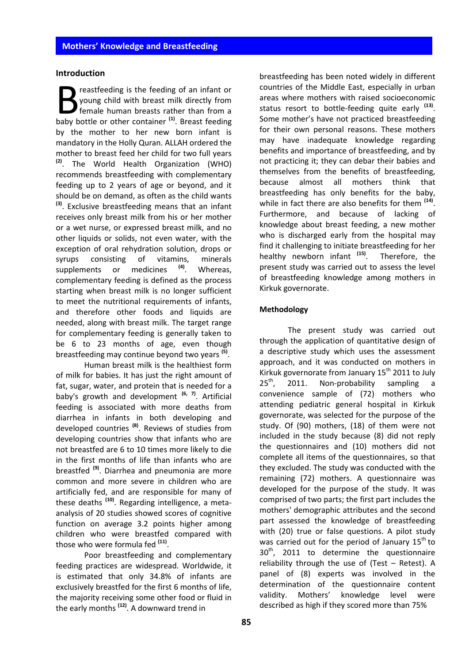## **Introduction**

reastfeeding is the feeding of an infant or young child with breast milk directly from female human breasts rather than from a **b** reastfeeding is the feeding of an infant or young child with breast milk directly from female human breasts rather than from a baby bottle or other container <sup>(1)</sup>. Breast feeding by the mother to her new born infant is mandatory in the Holly Quran. ALLAH ordered the mother to breast feed her child for two full years **(2)** . The World Health Organization (WHO) recommends breastfeeding with complementary feeding up to 2 years of age or beyond, and it should be on demand, as often as the child wants **(3)** . Exclusive breastfeeding means that an infant receives only breast milk from his or her mother or a wet nurse, or expressed breast milk, and no other liquids or solids, not even water, with the exception of oral rehydration solution, drops or syrups consisting of vitamins, minerals supplements or medicines **(4)** . Whereas, complementary feeding is defined as the process starting when breast milk is no longer sufficient to meet the nutritional requirements of infants, and therefore other foods and liquids are needed, along with breast milk. The target range for complementary feeding is generally taken to be 6 to 23 months of age, even though breastfeeding may continue beyond two years **(5)** .

Human breast milk is the healthiest form of milk for babies. It has just the right amount of fat, sugar, water, and protein that is needed for a baby's growth and development **(6, 7)** . Artificial feeding is associated with more deaths from diarrhea in infants in both developing and developed countries **(8)** . Reviews of studies from developing countries show that infants who are not breastfed are 6 to 10 times more likely to die in the first months of life than infants who are breastfed **(9)** . Diarrhea and pneumonia are more common and more severe in children who are artificially fed, and are responsible for many of these deaths **(10)** . Regarding intelligence, a metaanalysis of 20 studies showed scores of cognitive function on average 3.2 points higher among children who were breastfed compared with those who were formula fed **(11)** .

Poor breastfeeding and complementary feeding practices are widespread. Worldwide, it is estimated that only 34.8% of infants are exclusively breastfed for the first 6 months of life, the majority receiving some other food or fluid in the early months **(12)** . A downward trend in

breastfeeding has been noted widely in different countries of the Middle East, especially in urban areas where mothers with raised socioeconomic status resort to bottle-feeding quite early **(13)** . Some mother's have not practiced breastfeeding for their own personal reasons. These mothers may have inadequate knowledge regarding benefits and importance of breastfeeding, and by not practicing it; they can debar their babies and themselves from the benefits of breastfeeding, because almost all mothers think that breastfeeding has only benefits for the baby, while in fact there are also benefits for them **(14)** . Furthermore, and because of lacking of knowledge about breast feeding, a new mother who is discharged early from the hospital may find it challenging to initiate breastfeeding for her healthy newborn infant **(15)** . Therefore, the present study was carried out to assess the level of breastfeeding knowledge among mothers in Kirkuk governorate.

# **Methodology**

 The present study was carried out through the application of quantitative design of a descriptive study which uses the assessment approach, and it was conducted on mothers in Kirkuk governorate from January 15<sup>th</sup> 2011 to July  $25^{\text{th}}$ 2011. Non-probability sampling a convenience sample of (72) mothers who attending pediatric general hospital in Kirkuk governorate, was selected for the purpose of the study. Of (90) mothers, (18) of them were not included in the study because (8) did not reply the questionnaires and (10) mothers did not complete all items of the questionnaires, so that they excluded. The study was conducted with the remaining (72) mothers. A questionnaire was developed for the purpose of the study. It was comprised of two parts; the first part includes the mothers' demographic attributes and the second part assessed the knowledge of breastfeeding with (20) true or false questions. A pilot study was carried out for the period of January  $15^{th}$  to 30<sup>th</sup>, 2011 to determine the questionnaire reliability through the use of (Test – Retest). A panel of (8) experts was involved in the determination of the questionnaire content validity. Mothers' knowledge level were described as high if they scored more than 75%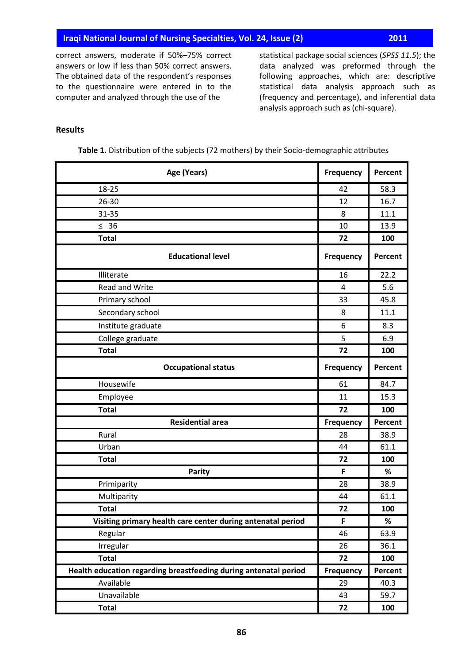correct answers, moderate if 50%–75% correct answers or low if less than 50% correct answers. The obtained data of the respondent's responses to the questionnaire were entered in to the computer and analyzed through the use of the

statistical package social sciences (*SPSS 11.5*); the data analyzed was preformed through the following approaches, which are: descriptive statistical data analysis approach such as (frequency and percentage), and inferential data analysis approach such as (chi-square).

# **Results**

| Age (Years)                                                      | <b>Frequency</b> | Percent |
|------------------------------------------------------------------|------------------|---------|
| 18-25                                                            | 42               | 58.3    |
| 26-30                                                            | 12               | 16.7    |
| 31-35                                                            | 8                | 11.1    |
| $\leq$ 36                                                        | 10               | 13.9    |
| <b>Total</b>                                                     | 72               | 100     |
| <b>Educational level</b>                                         | <b>Frequency</b> | Percent |
| Illiterate                                                       | 16               | 22.2    |
| Read and Write                                                   | $\overline{4}$   | 5.6     |
| Primary school                                                   | 33               | 45.8    |
| Secondary school                                                 | 8                | 11.1    |
| Institute graduate                                               | 6                | 8.3     |
| College graduate                                                 | 5                | 6.9     |
| <b>Total</b>                                                     | 72               | 100     |
| <b>Occupational status</b>                                       | <b>Frequency</b> | Percent |
| Housewife                                                        | 61               | 84.7    |
| Employee                                                         | 11               | 15.3    |
| <b>Total</b>                                                     | 72               | 100     |
| <b>Residential area</b>                                          | <b>Frequency</b> | Percent |
| Rural                                                            | 28               | 38.9    |
| Urban                                                            | 44               | 61.1    |
| <b>Total</b>                                                     | 72               | 100     |
| <b>Parity</b>                                                    | F                | %       |
| Primiparity                                                      | 28               | 38.9    |
| Multiparity                                                      | 44               | 61.1    |
| <b>Total</b>                                                     | 72               | 100     |
| Visiting primary health care center during antenatal period      | F                | %       |
| Regular                                                          | 46               | 63.9    |
| Irregular                                                        | 26               | 36.1    |
| <b>Total</b>                                                     | 72               | 100     |
| Health education regarding breastfeeding during antenatal period | <b>Frequency</b> | Percent |
| Available                                                        | 29               | 40.3    |
| Unavailable                                                      | 43               | 59.7    |
| <b>Total</b>                                                     | 72               | 100     |

**Table 1.** Distribution of the subjects (72 mothers) by their Socio-demographic attributes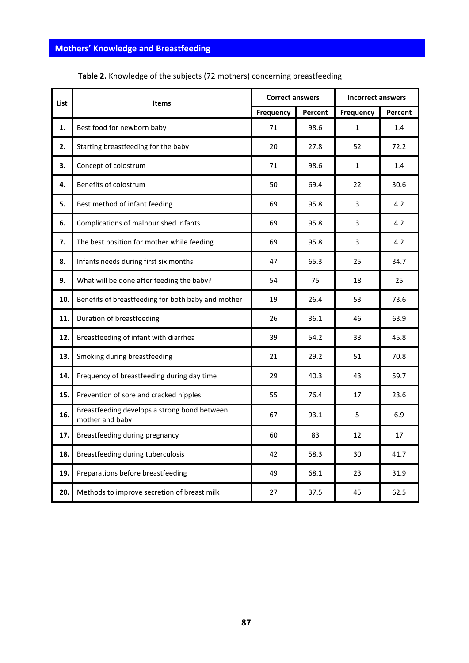|      | List<br><b>Items</b>                                            |           | <b>Correct answers</b> |              | <b>Incorrect answers</b> |  |
|------|-----------------------------------------------------------------|-----------|------------------------|--------------|--------------------------|--|
|      |                                                                 | Frequency | Percent                | Frequency    | Percent                  |  |
| 1.   | Best food for newborn baby                                      | 71        | 98.6                   | $\mathbf{1}$ | 1.4                      |  |
| 2.   | Starting breastfeeding for the baby                             | 20        | 27.8                   | 52           | 72.2                     |  |
| 3.   | Concept of colostrum                                            | 71        | 98.6                   | 1            | 1.4                      |  |
| 4.   | Benefits of colostrum                                           | 50        | 69.4                   | 22           | 30.6                     |  |
| 5.   | Best method of infant feeding                                   | 69        | 95.8                   | 3            | 4.2                      |  |
| 6.   | Complications of malnourished infants                           | 69        | 95.8                   | 3            | 4.2                      |  |
| 7.   | The best position for mother while feeding                      | 69        | 95.8                   | 3            | 4.2                      |  |
| 8.   | Infants needs during first six months                           | 47        | 65.3                   | 25           | 34.7                     |  |
| 9.   | What will be done after feeding the baby?                       | 54        | 75                     | 18           | 25                       |  |
| 10.  | Benefits of breastfeeding for both baby and mother              | 19        | 26.4                   | 53           | 73.6                     |  |
| 11.  | Duration of breastfeeding                                       | 26        | 36.1                   | 46           | 63.9                     |  |
| 12.  | Breastfeeding of infant with diarrhea                           | 39        | 54.2                   | 33           | 45.8                     |  |
| 13.  | Smoking during breastfeeding                                    | 21        | 29.2                   | 51           | 70.8                     |  |
| 14.  | Frequency of breastfeeding during day time                      | 29        | 40.3                   | 43           | 59.7                     |  |
| 15.  | Prevention of sore and cracked nipples                          | 55        | 76.4                   | 17           | 23.6                     |  |
| 16.  | Breastfeeding develops a strong bond between<br>mother and baby | 67        | 93.1                   | 5            | 6.9                      |  |
| 17.1 | Breastfeeding during pregnancy                                  | 60        | 83                     | 12           | 17                       |  |
| 18.  | Breastfeeding during tuberculosis                               | 42        | 58.3                   | 30           | 41.7                     |  |
| 19.  | Preparations before breastfeeding                               | 49        | 68.1                   | 23           | 31.9                     |  |
| 20.  | Methods to improve secretion of breast milk                     | 27        | 37.5                   | 45           | 62.5                     |  |

**Table 2.** Knowledge of the subjects (72 mothers) concerning breastfeeding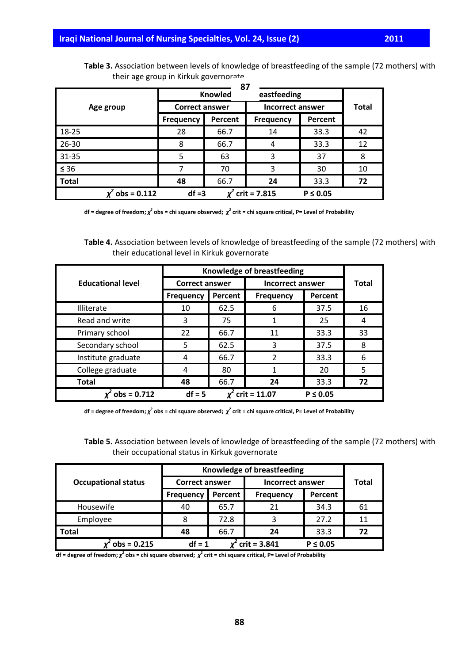| 87           |                  |                                             |                  |                         |    |  |  |
|--------------|------------------|---------------------------------------------|------------------|-------------------------|----|--|--|
|              |                  | eastfeeding<br><b>Knowled</b>               |                  |                         |    |  |  |
| Age group    |                  | <b>Correct answer</b>                       |                  | <b>Incorrect answer</b> |    |  |  |
|              | <b>Frequency</b> | Percent                                     | <b>Frequency</b> | Percent                 |    |  |  |
| 18-25        | 28               | 66.7                                        | 14               | 33.3                    | 42 |  |  |
| 26-30        | 8                | 66.7                                        | 4                | 33.3                    | 12 |  |  |
| 31-35        | 5                | 63                                          | 3                | 37                      | 8  |  |  |
| $\leq 36$    | 7                | 70                                          | 3                | 30                      | 10 |  |  |
| <b>Total</b> | 48               | 66.7                                        | 24               | 33.3                    | 72 |  |  |
|              | $obs = 0.112$    | $df = 3$<br>$crit = 7.815$<br>$P \leq 0.05$ |                  |                         |    |  |  |

**Table 3.** Association between levels of knowledge of breastfeeding of the sample (72 mothers) with their age group in Kirkuk governorate

**df = degree of freedom;** *χ 2* **obs = chi square observed;** *χ 2* **crit = chi square critical, P= Level of Probability**

**Table 4.** Association between levels of knowledge of breastfeeding of the sample (72 mothers) with their educational level in Kirkuk governorate

|                          |                       | Knowledge of breastfeeding |                         |               |              |
|--------------------------|-----------------------|----------------------------|-------------------------|---------------|--------------|
| <b>Educational level</b> | <b>Correct answer</b> |                            | <b>Incorrect answer</b> |               | <b>Total</b> |
|                          | <b>Frequency</b>      | Percent                    | <b>Frequency</b>        | Percent       |              |
| Illiterate               | 10                    | 62.5                       | 6                       | 37.5          | 16           |
| Read and write           | 3                     | 75                         |                         | 25            | 4            |
| Primary school           | 22                    | 66.7                       | 11                      | 33.3          | 33           |
| Secondary school         | 5                     | 62.5                       | 3                       | 37.5          | 8            |
| Institute graduate       | 4                     | 66.7                       | 2                       | 33.3          | 6            |
| College graduate         | 4                     | 80                         |                         | 20            | 5            |
| <b>Total</b>             | 48                    | 66.7                       | 24                      | 33.3          | 72           |
| $x^2$ obs = 0.712        | $df = 5$              |                            | $x^2$ crit = 11.07      | $P \leq 0.05$ |              |

**df = degree of freedom;** *χ 2* **obs = chi square observed;** *χ 2* **crit = chi square critical, P= Level of Probability**

**Table 5.** Association between levels of knowledge of breastfeeding of the sample (72 mothers) with their occupational status in Kirkuk governorate

|                            | Knowledge of breastfeeding |         |                         |               |              |
|----------------------------|----------------------------|---------|-------------------------|---------------|--------------|
| <b>Occupational status</b> | <b>Correct answer</b>      |         | <b>Incorrect answer</b> |               | <b>Total</b> |
|                            | <b>Frequency</b>           | Percent | <b>Frequency</b>        | Percent       |              |
| Housewife                  | 40                         | 65.7    | 21                      | 34.3          | 61           |
| Employee                   | 8                          | 72.8    | 3                       | 27.2          | 11           |
| <b>Total</b>               | 48                         | 66.7    | 24                      | 33.3          | 72           |
| $obs = 0.215$              | $df = 1$                   |         | $crit = 3.841$          | $P \leq 0.05$ |              |

**df = degree of freedom;** *χ 2* **obs = chi square observed;** *χ 2* **crit = chi square critical, P= Level of Probability**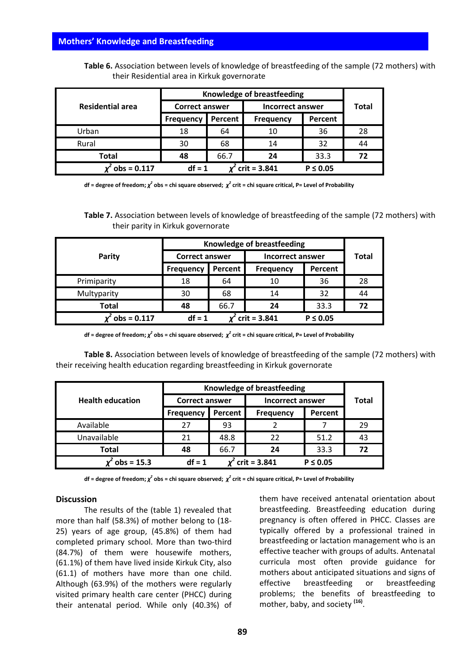**Table 6.** Association between levels of knowledge of breastfeeding of the sample (72 mothers) with their Residential area in Kirkuk governorate

|                    | <b>Knowledge of breastfeeding</b>           |         |                         |         |              |
|--------------------|---------------------------------------------|---------|-------------------------|---------|--------------|
| Residential area   | <b>Correct answer</b>                       |         | <b>Incorrect answer</b> |         | <b>Total</b> |
|                    | <b>Frequency</b>                            | Percent | <b>Frequency</b>        | Percent |              |
| Urban              | 18                                          | 64      | 10                      | 36      | 28           |
| Rural              | 30                                          | 68      | 14                      | 32      | 44           |
| <b>Total</b>       | 48                                          | 66.7    | 24                      | 33.3    | 72           |
| $^{2}$ obs = 0.117 | $crit = 3.841$<br>$df = 1$<br>$P \leq 0.05$ |         |                         |         |              |

**df = degree of freedom;** *χ 2* **obs = chi square observed;** *χ 2* **crit = chi square critical, P= Level of Probability**

**Table 7.** Association between levels of knowledge of breastfeeding of the sample (72 mothers) with their parity in Kirkuk governorate

|               | Knowledge of breastfeeding |         |                  |               |              |
|---------------|----------------------------|---------|------------------|---------------|--------------|
| <b>Parity</b> | <b>Correct answer</b>      |         | Incorrect answer |               | <b>Total</b> |
|               | <b>Frequency</b>           | Percent | <b>Frequency</b> | Percent       |              |
| Primiparity   | 18                         | 64      | 10               | 36            | 28           |
| Multyparity   | 30                         | 68      | 14               | 32            | 44           |
| <b>Total</b>  | 48                         | 66.7    | 24               | 33.3          | 72           |
| $obs = 0.117$ | $df = 1$                   |         | $crit = 3.841$   | $P \leq 0.05$ |              |

**df = degree of freedom;** *χ 2* **obs = chi square observed;** *χ 2* **crit = chi square critical, P= Level of Probability**

**Table 8.** Association between levels of knowledge of breastfeeding of the sample (72 mothers) with their receiving health education regarding breastfeeding in Kirkuk governorate

|                         | Knowledge of breastfeeding |         |                  |               |              |
|-------------------------|----------------------------|---------|------------------|---------------|--------------|
| <b>Health education</b> | <b>Correct answer</b>      |         | Incorrect answer |               | <b>Total</b> |
|                         | <b>Frequency</b>           | Percent | <b>Frequency</b> | Percent       |              |
| Available               | 27                         | 93      |                  |               | 29           |
| Unavailable             | 21                         | 48.8    | 22               | 51.2          | 43           |
| <b>Total</b>            | 48                         | 66.7    | 24               | 33.3          | 72           |
| $obs = 15.3$            | $crit = 3.841$<br>$df = 1$ |         |                  | $P \leq 0.05$ |              |

**df = degree of freedom;** *χ 2* **obs = chi square observed;** *χ 2* **crit = chi square critical, P= Level of Probability**

## **Discussion**

The results of the (table 1) revealed that more than half (58.3%) of mother belong to (18- 25) years of age group, (45.8%) of them had completed primary school. More than two-third (84.7%) of them were housewife mothers, (61.1%) of them have lived inside Kirkuk City, also (61.1) of mothers have more than one child. Although (63.9%) of the mothers were regularly visited primary health care center (PHCC) during their antenatal period. While only (40.3%) of them have received antenatal orientation about breastfeeding. Breastfeeding education during pregnancy is often offered in PHCC. Classes are typically offered by a professional trained in breastfeeding or lactation management who is an effective teacher with groups of adults. Antenatal curricula most often provide guidance for mothers about anticipated situations and signs of effective breastfeeding or breastfeeding problems; the benefits of breastfeeding to mother, baby, and society **(16)** .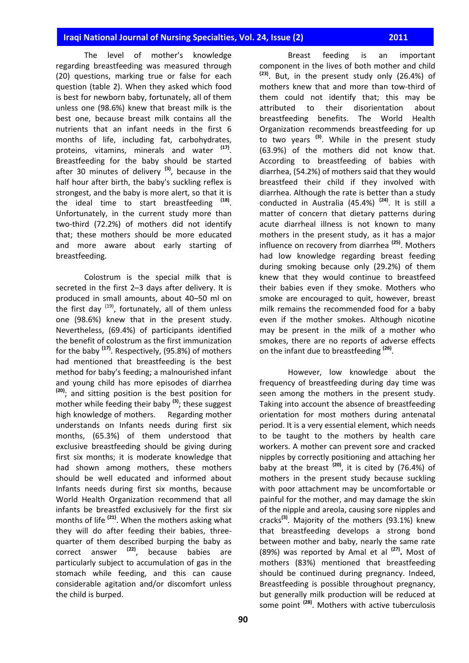# **Iraqi National Journal of Nursing Specialties, Vol. 24, Issue (2) 1999 12011**

The level of mother's knowledge regarding breastfeeding was measured through (20) questions, marking true or false for each question (table 2). When they asked which food is best for newborn baby, fortunately, all of them unless one (98.6%) knew that breast milk is the best one, because breast milk contains all the nutrients that an infant needs in the first 6 months of life, including fat, carbohydrates, proteins, vitamins, minerals and water **(17)** . Breastfeeding for the baby should be started after 30 minutes of delivery **(3)** , because in the half hour after birth, the baby's suckling reflex is strongest, and the baby is more alert, so that it is the ideal time to start breastfeeding **(18)** . Unfortunately, in the current study more than two-third (72.2%) of mothers did not identify that; these mothers should be more educated and more aware about early starting of breastfeeding.

Colostrum is the special milk that is secreted in the first 2–3 days after delivery. It is produced in small amounts, about 40–50 ml on the first day <sup>(19)</sup>, fortunately, all of them unless one (98.6%) knew that in the present study. Nevertheless, (69.4%) of participants identified the benefit of colostrum as the first immunization for the baby **(17)** . Respectively, (95.8%) of mothers had mentioned that breastfeeding is the best method for baby's feeding; a malnourished infant and young child has more episodes of diarrhea **(20)** ; and sitting position is the best position for mother while feeding their baby **(3)** ; these suggest high knowledge of mothers. Regarding mother understands on Infants needs during first six months, (65.3%) of them understood that exclusive breastfeeding should be giving during first six months; it is moderate knowledge that had shown among mothers, these mothers should be well educated and informed about Infants needs during first six months, because World Health Organization recommend that all infants be breastfed exclusively for the first six months of life **(21)** . When the mothers asking what they will do after feeding their babies, threequarter of them described burping the baby as correct answer **(22)** , because [babies](http://en.wikipedia.org/wiki/Infant) are particularly subject to accumulation of gas in the stomach while feeding, and this can cause considerable agitation and/or discomfort unless the child is burped.

Breast feeding is an important component in the lives of both mother and child **(23)** . But, in the present study only (26.4%) of mothers knew that and more than tow-third of them could not identify that; this may be attributed to their disorientation about breastfeeding benefits. The World Health Organization recommends breastfeeding for up to two years **(3)**. While in the present study (63.9%) of the mothers did not know that. According to breastfeeding of babies with diarrhea, (54.2%) of mothers said that they would breastfeed their child if they involved with diarrhea. Although the rate is better than a study conducted in Australia (45.4%) **(24)** . It is still a matter of concern that dietary patterns during acute diarrheal illness is not known to many mothers in the present study, as it has a major influence on recovery from diarrhea **(25)** . Mothers had low knowledge regarding breast feeding during smoking because only (29.2%) of them knew that they would continue to breastfeed their babies even if they smoke. Mothers who smoke are encouraged to quit, however, breast milk remains the recommended food for a baby even if the mother smokes. Although nicotine may be present in the milk of a mother who smokes, there are no reports of adverse effects on the infant due to breastfeeding **(26)** .

However, low knowledge about the frequency of breastfeeding during day time was seen among the mothers in the present study. Taking into account the absence of breastfeeding orientation for most mothers during antenatal period. It is a very essential element, which needs to be taught to the mothers by health care workers. A mother can prevent sore and cracked nipples by correctly positioning and attaching her baby at the breast **(20)** , it is cited by (76.4%) of mothers in the present study because suckling with poor attachment may be uncomfortable or painful for the mother, and may damage the skin of the nipple and areola, causing sore nipples and cracks**(3)** . Majority of the mothers (93.1%) knew that breastfeeding develops a strong bond between mother and baby, nearly the same rate (89%) was reported by Amal et al **(27) .** Most of mothers (83%) mentioned that breastfeeding should be continued during pregnancy. Indeed, Breastfeeding is possible throughout [pregnancy,](http://en.wikipedia.org/wiki/Pregnancy) but generally milk production will be reduced at some point **(28)** . Mothers with active tuberculosis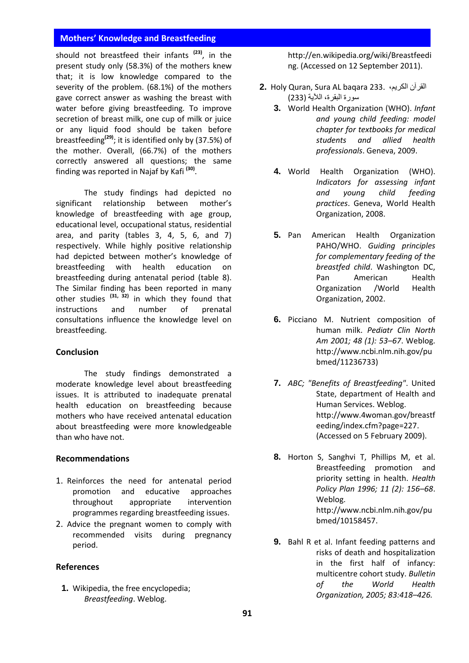should not breastfeed their infants **(23)**, in the present study only (58.3%) of the mothers knew that; it is low knowledge compared to the severity of the problem. (68.1%) of the mothers gave correct answer as washing the breast with water before giving breastfeeding. To improve secretion of breast milk, one cup of milk or juice or any liquid food should be taken before breastfeeding**(29)**; it is identified only by (37.5%) of the mother. Overall, (66.7%) of the mothers correctly answered all questions; the same finding was reported in Najaf by Kafi **(30)** .

The study findings had depicted no significant relationship between mother's knowledge of breastfeeding with age group, educational level, occupational status, residential area, and parity (tables 3, 4, 5, 6, and 7) respectively. While highly positive relationship had depicted between mother's knowledge of breastfeeding with health education on breastfeeding during antenatal period (table 8). The Similar finding has been reported in many other studies **(31, 32)** in which they found that instructions and number of prenatal consultations influence the knowledge level on breastfeeding.

#### **Conclusion**

The study findings demonstrated a moderate knowledge level about breastfeeding issues. It is attributed to inadequate prenatal health education on breastfeeding because mothers who have received antenatal education about breastfeeding were more knowledgeable than who have not.

#### **Recommendations**

- 1. Reinforces the need for antenatal period promotion and educative approaches throughout appropriate intervention programmes regarding breastfeeding issues.
- 2. Advice the pregnant women to comply with recommended visits during pregnancy period.

#### **References**

**1.** Wikipedia, the free encyclopedia; *Breastfeeding*. Weblog.

[http://en.wikipedia.org/wiki/Breastfeedi](http://en.wikipedia.org/wiki/Breastfeeding) [ng.](http://en.wikipedia.org/wiki/Breastfeeding) (Accessed on 12 September 2011).

- **2.** Holy Quran, Sura AL baqara 233. ،الكريم القرآن سورة البقرة، الآلية )333(
	- **3.** World Health Organization (WHO). *Infant and young child feeding: model chapter for textbooks for medical students and allied health professionals*. Geneva, 2009.
	- **4.** World Health Organization (WHO). *Indicators for assessing infant and young child feeding practices*. Geneva, World Health Organization, 2008.
	- **5.** Pan American Health Organization PAHO/WHO. *Guiding principles for complementary feeding of the breastfed child*. Washington DC, Pan American Health Organization /World Health Organization, 2002.
	- **6.** Picciano M. Nutrient composition of human milk. *Pediatr Clin North Am 2001; 48 (1): 53–67*. Weblog. http://www.ncbi.nlm.nih.gov/pu bmed/11236733)
	- **7.** *ABC; ["Benefits of Breastfeeding"](http://www.4woman.gov/breastfeeding/index.cfm?page=227)*. United State, department of Health and Human Services. Weblog. http://www.4woman.gov/breastf eeding/index.cfm?page=227. (Accessed on 5 February 2009).
	- **8.** Horton S, Sanghvi T, Phillips M, et al. Breastfeeding promotion and priority setting in health. *Health Policy Plan 1996; 11 (2): 156–68*. Weblog. http://www.ncbi.nlm.nih.gov/pu bmed/10158457.
	- **9.** Bahl R et al. Infant feeding patterns and risks of death and hospitalization in the first half of infancy: multicentre cohort study. *Bulletin of the World Health Organization, 2005; 83:418–426.*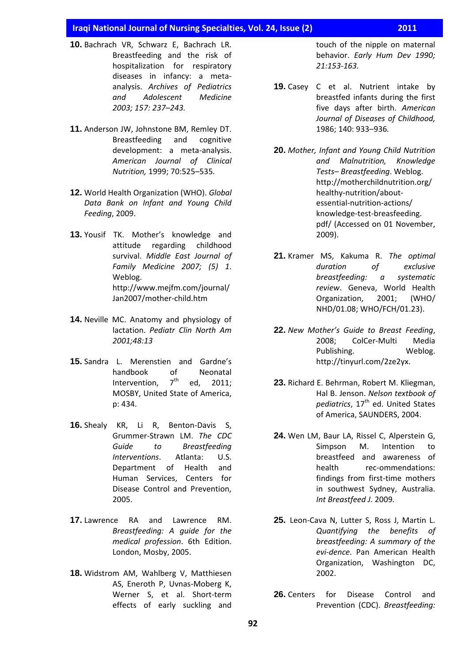#### **Iraqi National Journal of Nursing Specialties, Vol. 24, Issue (2) 2011**

- **10.** Bachrach VR, Schwarz E, Bachrach LR. Breastfeeding and the risk of hospitalization for respiratory diseases in infancy: a metaanalysis. *Archives of Pediatrics and Adolescent Medicine 2003; 157: 237–243.*
- **11.** Anderson JW, Johnstone BM, Remley DT. Breastfeeding and cognitive development: a meta-analysis. *American Journal of Clinical Nutrition,* 1999; 70:525–535*.*
- **12.** World Health Organization (WHO). *Global Data Bank on Infant and Young Child Feeding*, 2009.
- **13.** Yousif TK. Mother's knowledge and attitude regarding childhood survival. *Middle East Journal of Family Medicine 2007; (5) 1*. Weblog. http://www.mejfm.com/journal/ Jan2007/mother-child.htm
- **14.** Neville MC. Anatomy and physiology of lactation. *Pediatr Clin North Am 2001;48:13*
- **15.** Sandra L. Merenstien and Gardne's handbook of Neonatal Intervention,  $7<sup>th</sup>$  ed, 2011: MOSBY, United State of America, p: 434.
- **16.** Shealy KR, Li R, Benton-Davis S, Grummer-Strawn LM. *The CDC Guide to Breastfeeding Interventions*. Atlanta: U.S. Department of Health and Human Services, Centers for Disease Control and Prevention, 2005.
- **17.** Lawrence RA and Lawrence RM. *Breastfeeding: A guide for the medical profession*. 6th Edition. London, Mosby, 2005.
- **18.** Widstrom AM, Wahlberg V, Matthiesen AS, Eneroth P, Uvnas-Moberg K, Werner S, et al. Short-term effects of early suckling and

touch of the nipple on maternal behavior. *Early Hum Dev 1990; 21:153-163.*

- **19.** Casey C et al. Nutrient intake by breastfed infants during the first five days after birth. *American Journal of Diseases of Childhood,*  1986; 140: 933–936*.*
- **20.** *Mother, Infant and Young Child Nutrition and Malnutrition, Knowledge Tests– Breastfeeding*. Weblog. http://motherchildnutrition.org/ healthy-nutrition/aboutessential-nutrition-actions/ knowledge-test-breasfeeding. pdf/ (Accessed on 01 November, 2009).
- **21.** Kramer MS, Kakuma R. *The optimal duration of exclusive breastfeeding: a systematic review*. Geneva, World Health Organization, 2001; (WHO/ NHD/01.08; WHO/FCH/01.23).
- **22.** *New Mother's Guide to Breast Feeding*, 2008; ColCer-Multi Media Publishing. Weblog. http://tinyurl.com/2ze2yx.
- **23.** Richard E. Behrman, Robert M. Kliegman, Hal B. Jenson. *Nelson textbook of pediatrics*, 17th ed. United States of America, SAUNDERS, 2004.
- **24.** Wen LM, Baur LA, Rissel C, Alperstein G, Simpson M. Intention to breastfeed and awareness of health rec-ommendations: findings from first-time mothers in southwest Sydney, Australia. *Int Breastfeed J*. 2009*.*
- **25.** Leon-Cava N, Lutter S, Ross J, Martin L. *Quantifying the benefits of breastfeeding: A summary of the evi-dence*. Pan American Health Organization, Washington DC, 2002.
- **26.** Centers for Disease Control and Prevention (CDC). *Breastfeeding:*